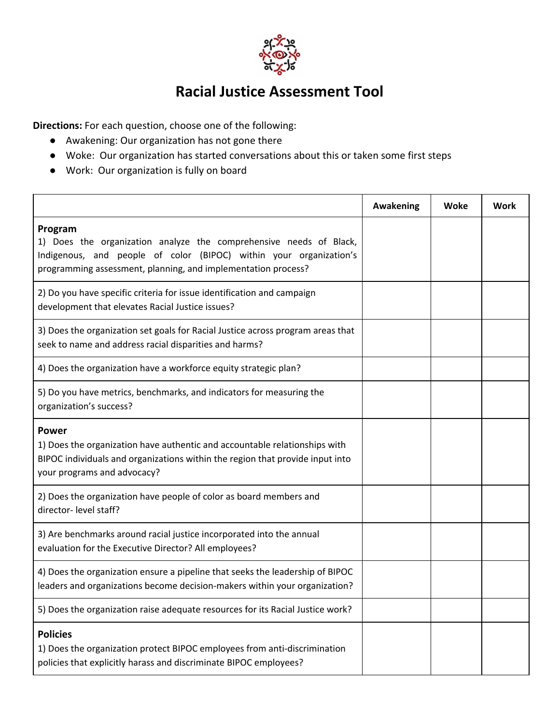

## **Racial Justice Assessment Tool**

**Directions:** For each question, choose one of the following:

- Awakening: Our organization has not gone there
- Woke: Our organization has started conversations about this or taken some first steps
- Work: Our organization is fully on board

|                                                                                                                                                                                                                      | Awakening | Woke | Work |
|----------------------------------------------------------------------------------------------------------------------------------------------------------------------------------------------------------------------|-----------|------|------|
| Program<br>1) Does the organization analyze the comprehensive needs of Black,<br>Indigenous, and people of color (BIPOC) within your organization's<br>programming assessment, planning, and implementation process? |           |      |      |
| 2) Do you have specific criteria for issue identification and campaign<br>development that elevates Racial Justice issues?                                                                                           |           |      |      |
| 3) Does the organization set goals for Racial Justice across program areas that<br>seek to name and address racial disparities and harms?                                                                            |           |      |      |
| 4) Does the organization have a workforce equity strategic plan?                                                                                                                                                     |           |      |      |
| 5) Do you have metrics, benchmarks, and indicators for measuring the<br>organization's success?                                                                                                                      |           |      |      |
| Power<br>1) Does the organization have authentic and accountable relationships with<br>BIPOC individuals and organizations within the region that provide input into<br>your programs and advocacy?                  |           |      |      |
| 2) Does the organization have people of color as board members and<br>director- level staff?                                                                                                                         |           |      |      |
| 3) Are benchmarks around racial justice incorporated into the annual<br>evaluation for the Executive Director? All employees?                                                                                        |           |      |      |
| 4) Does the organization ensure a pipeline that seeks the leadership of BIPOC<br>leaders and organizations become decision-makers within your organization?                                                          |           |      |      |
| 5) Does the organization raise adequate resources for its Racial Justice work?                                                                                                                                       |           |      |      |
| <b>Policies</b><br>1) Does the organization protect BIPOC employees from anti-discrimination<br>policies that explicitly harass and discriminate BIPOC employees?                                                    |           |      |      |